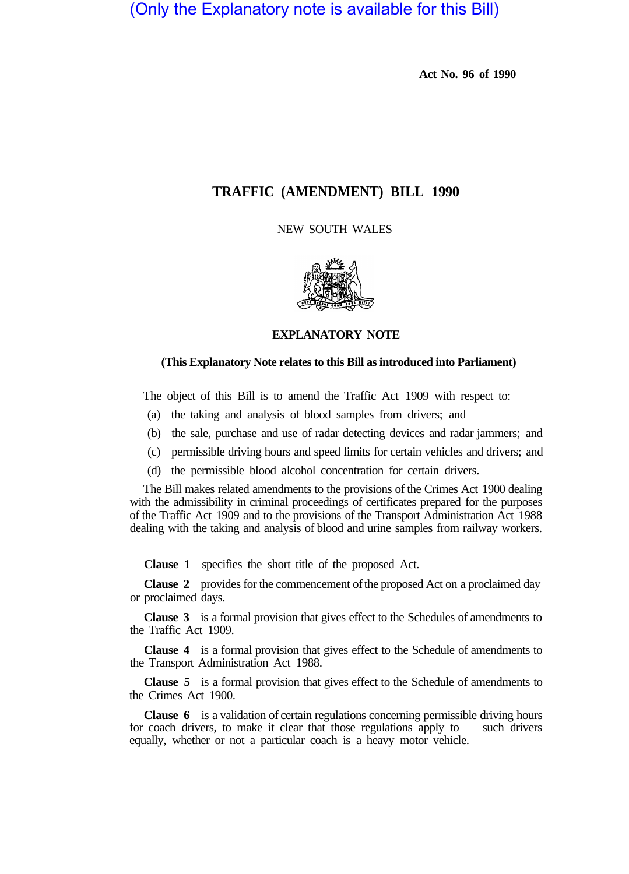(Only the Explanatory note is available for this Bill)

**Act No. 96 of 1990** 

## **TRAFFIC (AMENDMENT) BILL 1990**

NEW SOUTH WALES



**EXPLANATORY NOTE** 

## **(This Explanatory Note relates to this Bill as introduced into Parliament)**

The object of this Bill is to amend the Traffic Act 1909 with respect to:

- (a) the taking and analysis of blood samples from drivers; and
- (b) the sale, purchase and use of radar detecting devices and radar jammers; and
- (c) permissible driving hours and speed limits for certain vehicles and drivers; and
- (d) the permissible blood alcohol concentration for certain drivers.

The Bill makes related amendments to the provisions of the Crimes Act 1900 dealing with the admissibility in criminal proceedings of certificates prepared for the purposes of the Traffic Act 1909 and to the provisions of the Transport Administration Act 1988 dealing with the taking and analysis of blood and urine samples from railway workers.

**Clause 1** specifies the short title of the proposed Act.

**Clause 2** provides for the commencement of the proposed Act on a proclaimed day or proclaimed days.

**Clause 3** is a formal provision that gives effect to the Schedules of amendments to the Traffic Act 1909.

**Clause 4** is a formal provision that gives effect to the Schedule of amendments to the Transport Administration Act 1988.

**Clause 5** is a formal provision that gives effect to the Schedule of amendments to the Crimes Act 1900.

**Clause 6** is a validation of certain regulations concerning permissible driving hours coach drivers, to make it clear that those regulations apply to such drivers for coach drivers, to make it clear that those regulations apply to equally, whether or not a particular coach is a heavy motor vehicle.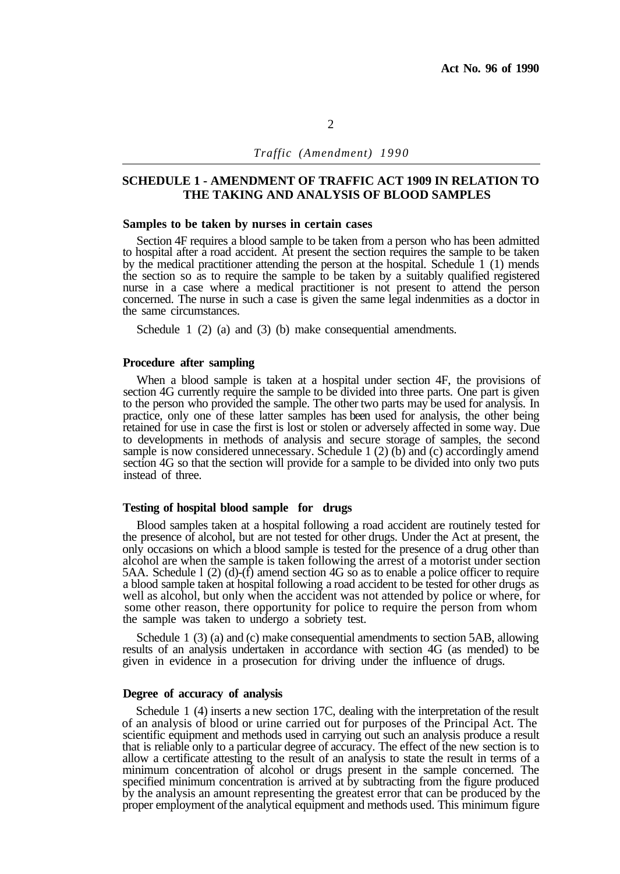## **SCHEDULE 1 - AMENDMENT OF TRAFFIC ACT 1909 IN RELATION TO THE TAKING AND ANALYSIS OF BLOOD SAMPLES**

#### **Samples to be taken by nurses in certain cases**

Section 4F requires a blood sample to be taken from a person who has been admitted to hospital after a road accident. At present the section requires the sample to be taken by the medical practitioner attending the person at the hospital. Schedule 1 (1) mends the section so as to require the sample to be taken by a suitably qualified registered nurse in a case where a medical practitioner is not present to attend the person concerned. The nurse in such a case is given the same legal indenmities as a doctor in the same circumstances.

Schedule 1 (2) (a) and (3) (b) make consequential amendments.

#### **Procedure after sampling**

When a blood sample is taken at a hospital under section 4F, the provisions of section 4G currently require the sample to be divided into three parts. One part is given to the person who provided the sample. The other two parts may be used for analysis. In practice, only one of these latter samples has been used for analysis, the other being retained for use in case the first is lost or stolen or adversely affected in some way. Due to developments in methods of analysis and secure storage of samples, the second sample is now considered unnecessary. Schedule 1 (2) (b) and (c) accordingly amend section 4G so that the section will provide for a sample to be divided into only two puts instead of three.

#### **Testing of hospital blood sample for drugs**

Blood samples taken at a hospital following a road accident are routinely tested for the presence of alcohol, but are not tested for other drugs. Under the Act at present, the only occasions on which a blood sample is tested for the presence of a drug other than alcohol are when the sample is taken following the arrest of a motorist under section 5AA. Schedule 1 (2) (d)-(f) amend section 4G so as to enable a police officer to require a blood sample taken at hospital following a road accident to be tested for other drugs as well as alcohol, but only when the accident was not attended by police or where, for some other reason, there opportunity for police to require the person from whom the sample was taken to undergo a sobriety test.

Schedule 1 (3) (a) and (c) make consequential amendments to section 5AB, allowing results of an analysis undertaken in accordance with section 4G (as mended) to be given in evidence in a prosecution for driving under the influence of drugs.

#### **Degree of accuracy of analysis**

Schedule 1 (4) inserts a new section 17C, dealing with the interpretation of the result of an analysis of blood or urine carried out for purposes of the Principal Act. The scientific equipment and methods used in carrying out such an analysis produce a result that is reliable only to a particular degree of accuracy. The effect of the new section is to allow a certificate attesting to the result of an analysis to state the result in terms of a minimum concentration of alcohol or drugs present in the sample concerned. The specified minimum concentration is arrived at by subtracting from the figure produced by the analysis an amount representing the greatest error that can be produced by the proper employment of the analytical equipment and methods used. This minimum figure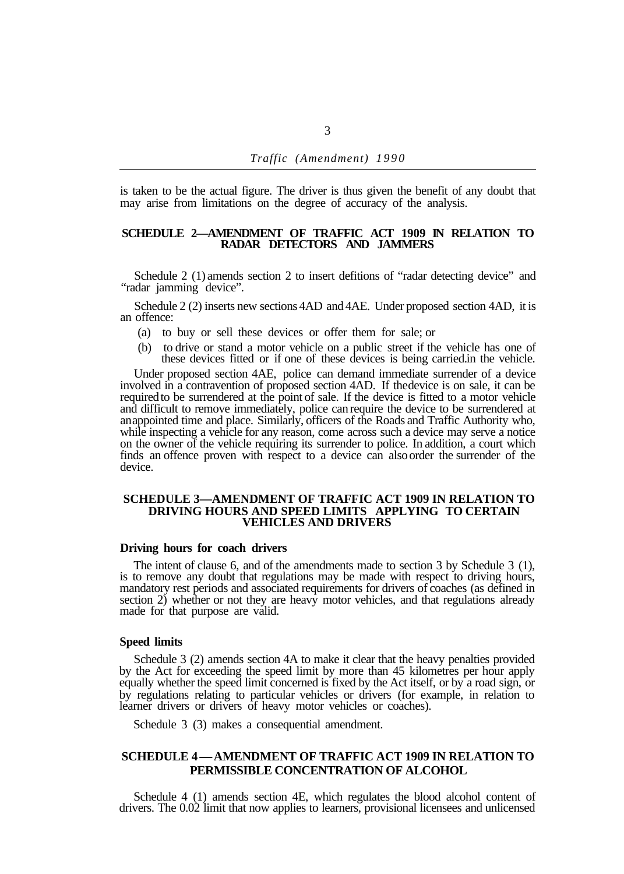is taken to be the actual figure. The driver is thus given the benefit of any doubt that may arise from limitations on the degree of accuracy of the analysis.

#### **SCHEDULE 2—AMENDMENT OF TRAFFIC ACT 1909 IN RELATION TO RADAR DETECTORS AND JAMMERS**

Schedule 2 (1) amends section 2 to insert defitions of "radar detecting device" and "radar jamming device".

Schedule 2 (2) inserts new sections 4AD and 4AE. Under proposed section 4AD, it is an offence:

- (a) to buy or sell these devices or offer them for sale; or
- (b) to drive or stand a motor vehicle on a public street if the vehicle has one of these devices fitted or if one of these devices is being carried. in the vehicle.

Under proposed section 4AE, police can demand immediate surrender of a device involved in a contravention of proposed section 4AD. If the device is on sale, it can be required to be surrendered at the point of sale. If the device is fitted to a motor vehicle and difficult to remove immediately, police can require the device to be surrendered at an appointed time and place. Similarly, officers of the Roads and Traffic Authority who, while inspecting a vehicle for any reason, come across such a device may serve a notice on the owner of the vehicle requiring its surrender to police. In addition, a court which finds an offence proven with respect to a device can also order the surrender of the device.

#### **SCHEDULE 3—AMENDMENT OF TRAFFIC ACT 1909 IN RELATION TO DRIVING HOURS AND SPEED LIMITS APPLYING TO CERTAIN VEHICLES AND DRIVERS**

#### **Driving hours for coach drivers**

The intent of clause 6, and of the amendments made to section 3 by Schedule 3 (1), is to remove any doubt that regulations may be made with respect to driving hours, mandatory rest periods and associated requirements for drivers of coaches (as defined in section 2) whether or not they are heavy motor vehicles, and that regulations already made for that purpose are valid.

## **Speed limits**

Schedule 3 (2) amends section 4A to make it clear that the heavy penalties provided by the Act for exceeding the speed limit by more than 45 kilometres per hour apply equally whether the speed limit concerned is fixed by the Act itself, or by a road sign, or by regulations relating to particular vehicles or drivers (for example, in relation to learner drivers or drivers of heavy motor vehicles or coaches).

Schedule 3 (3) makes a consequential amendment.

## **PERMISSIBLE CONCENTRATION OF ALCOHOL SCHEDULE 4-AMENDMENT OF TRAFFIC ACT 1909 IN RELATION TO**

Schedule 4 (1) amends section 4E, which regulates the blood alcohol content of drivers. The 0.02 limit that now applies to learners, provisional licensees and unlicensed